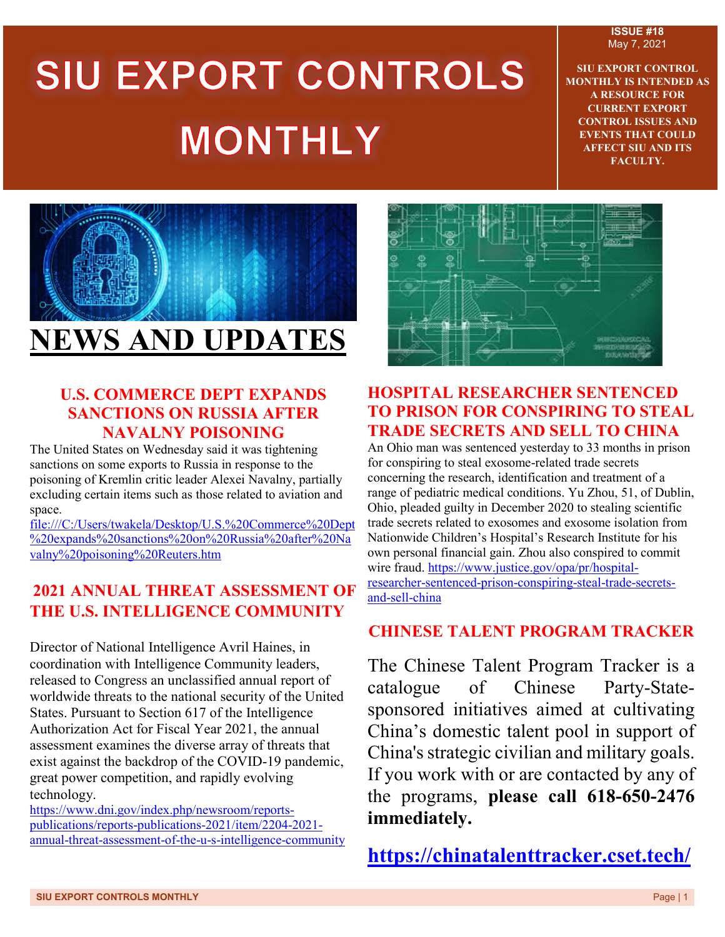#### **ISSUE #18** May 7, 2021

# SIU EXPORT CONTROLS **MONTHLY**

**SIU EXPORT CONTROL MONTHLY IS INTENDED AS A RESOURCE FOR CURRENT EXPORT CONTROL ISSUES AND EVENTS THAT COULD AFFECT SIU AND ITS FACULTY.**



#### **U.S. COMMERCE DEPT EXPANDS SANCTIONS ON RUSSIA AFTER NAVALNY POISONING**

The United States on Wednesday said it was tightening sanctions on some exports to Russia in response to the poisoning of Kremlin critic leader Alexei Navalny, partially excluding certain items such as those related to aviation and space.

file:///C:/Users/twakela/Desktop/U.S.%20Commerce%20Dept %20expands%20sanctions%20on%20Russia%20after%20Na valny%20poisoning%20Reuters.htm

### **2021 ANNUAL THREAT ASSESSMENT OF THE U.S. INTELLIGENCE COMMUNITY**

Director of National Intelligence Avril Haines, in coordination with Intelligence Community leaders, released to Congress an unclassified annual report of worldwide threats to the national security of the United States. Pursuant to Section 617 of the Intelligence Authorization Act for Fiscal Year 2021, the annual assessment examines the diverse array of threats that exist against the backdrop of the COVID-19 pandemic, great power competition, and rapidly evolving technology.

[https://www.dni.gov/index.php/newsroom/reports](https://www.dni.gov/index.php/newsroom/reports-publications/reports-publications-2021/item/2204-2021-annual-threat-assessment-of-the-u-s-intelligence-community)[publications/reports-publications-2021/item/2204-2021](https://www.dni.gov/index.php/newsroom/reports-publications/reports-publications-2021/item/2204-2021-annual-threat-assessment-of-the-u-s-intelligence-community) [annual-threat-assessment-of-the-u-s-intelligence-community](https://www.dni.gov/index.php/newsroom/reports-publications/reports-publications-2021/item/2204-2021-annual-threat-assessment-of-the-u-s-intelligence-community)



#### **HOSPITAL RESEARCHER SENTENCED TO PRISON FOR CONSPIRING TO STEAL TRADE SECRETS AND SELL TO CHINA**

An Ohio man was sentenced yesterday to 33 months in prison for conspiring to steal exosome-related trade secrets concerning the research, identification and treatment of a range of pediatric medical conditions. Yu Zhou, 51, of Dublin, Ohio, pleaded guilty in December 2020 to stealing scientific trade secrets related to exosomes and exosome isolation from Nationwide Children's Hospital's Research Institute for his own personal financial gain. Zhou also conspired to commit wire fraud. [https://www.justice.gov/opa/pr/hospital](https://www.justice.gov/opa/pr/hospital-researcher-sentenced-prison-conspiring-steal-trade-secrets-and-sell-china)[researcher-sentenced-prison-conspiring-steal-trade-secrets](https://www.justice.gov/opa/pr/hospital-researcher-sentenced-prison-conspiring-steal-trade-secrets-and-sell-china)[and-sell-china](https://www.justice.gov/opa/pr/hospital-researcher-sentenced-prison-conspiring-steal-trade-secrets-and-sell-china)

### **CHINESE TALENT PROGRAM TRACKER**

The Chinese Talent Program Tracker is a catalogue of Chinese Party-Statesponsored initiatives aimed at cultivating China's domestic talent pool in support of China's strategic civilian and military goals. If you work with or are contacted by any of the programs, **please call 618-650-2476 immediately.**

**<https://chinatalenttracker.cset.tech/>**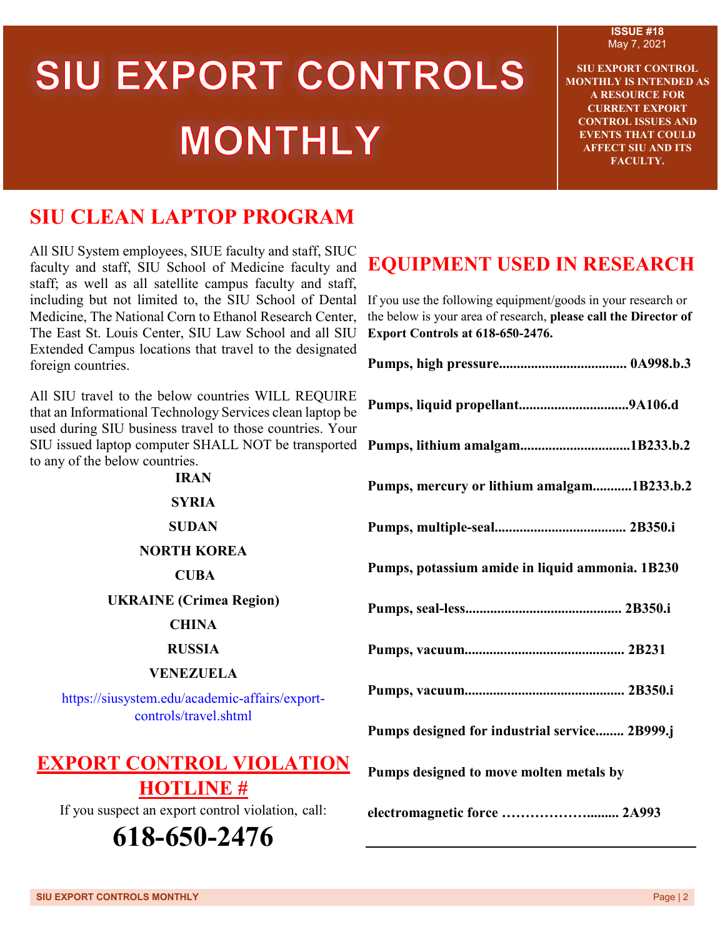# SIU EXPORT CONTROLS **MONTHLY**

**ISSUE #18** May 7, 2021

**SIU EXPORT CONTROL MONTHLY IS INTENDED AS A RESOURCE FOR CURRENT EXPORT CONTROL ISSUES AND EVENTS THAT COULD AFFECT SIU AND ITS FACULTY.**

## **SIU CLEAN LAPTOP PROGRAM**

All SIU System employees, SIUE faculty and staff, SIUC faculty and staff, SIU School of Medicine faculty and staff; as well as all satellite campus faculty and staff, including but not limited to, the SIU School of Dental Medicine, The National Corn to Ethanol Research Center, The East St. Louis Center, SIU Law School and all SIU Extended Campus locations that travel to the designated foreign countries.

All SIU travel to the below countries WILL REQUIRE that an Informational Technology Services clean laptop be used during SIU business travel to those countries. Your SIU issued laptop computer SHALL NOT be transported to any of the below countries.

> **IRAN SYRIA SUDAN NORTH KOREA CUBA UKRAINE (Crimea Region) CHINA RUSSIA**

#### **VENEZUELA**

[https://siusystem.edu/academic-affairs/export](https://siusystem.edu/academic-affairs/export-controls/travel.shtml)[controls/travel.shtml](https://siusystem.edu/academic-affairs/export-controls/travel.shtml)

## **EXPORT CONTROL VIOLATION**

**HOTLINE #** If you suspect an export control violation, call:

# **618-650-2476**

## **EQUIPMENT USED IN RESEARCH**

If you use the following equipment/goods in your research or the below is your area of research, **please call the Director of Export Controls at 618-650-2476.**

| Pumps, mercury or lithium amalgam1B233.b.2      |
|-------------------------------------------------|
|                                                 |
| Pumps, potassium amide in liquid ammonia. 1B230 |
|                                                 |
|                                                 |
|                                                 |
| Pumps designed for industrial service 2B999.j   |
| Pumps designed to move molten metals by         |
| electromagnetic force  2A993                    |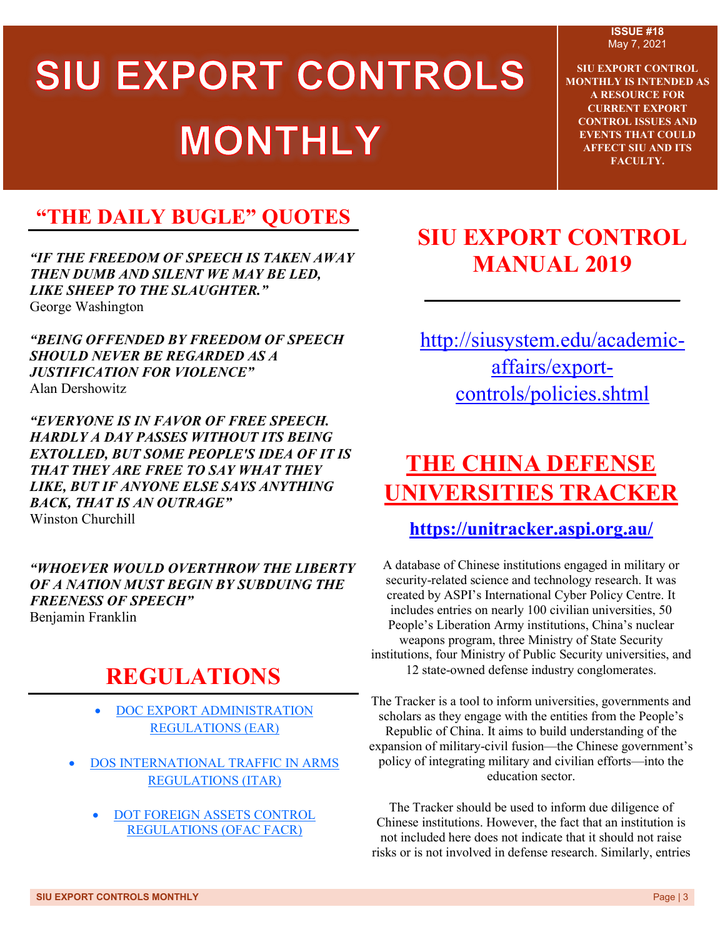# SIU EXPORT CONTROLS **MONTHLY**

**ISSUE #18** May 7, 2021

**SIU EXPORT CONTROL MONTHLY IS INTENDED AS A RESOURCE FOR CURRENT EXPORT CONTROL ISSUES AND EVENTS THAT COULD AFFECT SIU AND ITS FACULTY.**

# **"THE DAILY BUGLE" QUOTES**

*"IF THE FREEDOM OF SPEECH IS TAKEN AWAY THEN DUMB AND SILENT WE MAY BE LED, LIKE SHEEP TO THE SLAUGHTER."* George Washington

*"BEING OFFENDED BY FREEDOM OF SPEECH SHOULD NEVER BE REGARDED AS A JUSTIFICATION FOR VIOLENCE"* [Alan Dershowitz](https://www.brainyquote.com/authors/alan-dershowitz-quotes)

*"EVERYONE IS IN FAVOR OF FREE SPEECH. HARDLY A DAY PASSES WITHOUT ITS BEING EXTOLLED, BUT SOME PEOPLE'S IDEA OF IT IS THAT THEY ARE FREE TO SAY WHAT THEY LIKE, BUT IF ANYONE ELSE SAYS ANYTHING BACK, THAT IS AN OUTRAGE"* Winston Churchill

*"WHOEVER WOULD OVERTHROW THE LIBERTY OF A NATION MUST BEGIN BY SUBDUING THE FREENESS OF SPEECH"* [Benjamin Franklin](https://www.azquotes.com/author/5123-Benjamin_Franklin)

# **REGULATIONS**

- [DOC EXPORT ADMINISTRATION](http://r20.rs6.net/tn.jsp?f=001UiHfviR9AjzumKwB5DA296Pcs6yK5VFWkIY7zDNf4UhkYcLg0Ykx7x5Br_iW1z2jad3mY_nSorxjo6OqBhsiRU3N1bnrm6a-ED5Z44cejW0x_qv9Z1Cal-LcFEv0jPWBOkfAauZtA934rObCAtGQJbHDb3AUAwH4TniIvAAMOiUHYZowYOEGuj-KOmA-pbsDUlL6F2O_xGGXwW23gztkKl7F6UcJ-0k64pRnLDdH2ecOP_6TzEIwrO4bsWC9raGzXsTHEgDgroMVGdU1NmGRt24fEgnzgLz03dXPTuGk4LyqdUUQQLc28r7KPqITD7V1Cuj1ofXvlOk=&c=tKo3WHo58kTN8hro-5PyaFyLB5bkp8BbBMf8v3HGPsL0oZXSHxOOPQ==&ch=PAF_1B1RLLAhn-l7nADeql8X6A7bUCNPde1YV3IVYVzcHONHm8tbFQ==)  [REGULATIONS \(EAR\)](http://r20.rs6.net/tn.jsp?f=001UiHfviR9AjzumKwB5DA296Pcs6yK5VFWkIY7zDNf4UhkYcLg0Ykx7x5Br_iW1z2jad3mY_nSorxjo6OqBhsiRU3N1bnrm6a-ED5Z44cejW0x_qv9Z1Cal-LcFEv0jPWBOkfAauZtA934rObCAtGQJbHDb3AUAwH4TniIvAAMOiUHYZowYOEGuj-KOmA-pbsDUlL6F2O_xGGXwW23gztkKl7F6UcJ-0k64pRnLDdH2ecOP_6TzEIwrO4bsWC9raGzXsTHEgDgroMVGdU1NmGRt24fEgnzgLz03dXPTuGk4LyqdUUQQLc28r7KPqITD7V1Cuj1ofXvlOk=&c=tKo3WHo58kTN8hro-5PyaFyLB5bkp8BbBMf8v3HGPsL0oZXSHxOOPQ==&ch=PAF_1B1RLLAhn-l7nADeql8X6A7bUCNPde1YV3IVYVzcHONHm8tbFQ==)
- [DOS INTERNATIONAL TRAFFIC IN ARMS](http://r20.rs6.net/tn.jsp?f=001UiHfviR9AjzumKwB5DA296Pcs6yK5VFWkIY7zDNf4UhkYcLg0Ykx719sHykF43nSKyeckSKdi9IMQMnPYBdvh9IjG2xQftWR9wb66nIKCDqWxtJrToZBOIX29skkrmW7Wk_PfbA_fNXxXsU9XE-nuM_93bESLLz5Gkm6OQYQY6NJ-UnhMY0JNMbS16uNUBkCNqvH_1qcVGpbzBhZpNCWC5kr92TVv33Vhd44xq3wo9NFcWSpOMmpUAG0bX2Unu21MdwwtVqwwD6qvj7xOJ_m2hpBrpTT2z3ZUtomEPK5hyc2fTHXNa3RhxNme1qhUmsE&c=tKo3WHo58kTN8hro-5PyaFyLB5bkp8BbBMf8v3HGPsL0oZXSHxOOPQ==&ch=PAF_1B1RLLAhn-l7nADeql8X6A7bUCNPde1YV3IVYVzcHONHm8tbFQ==)  [REGULATIONS \(ITAR\)](http://r20.rs6.net/tn.jsp?f=001UiHfviR9AjzumKwB5DA296Pcs6yK5VFWkIY7zDNf4UhkYcLg0Ykx719sHykF43nSKyeckSKdi9IMQMnPYBdvh9IjG2xQftWR9wb66nIKCDqWxtJrToZBOIX29skkrmW7Wk_PfbA_fNXxXsU9XE-nuM_93bESLLz5Gkm6OQYQY6NJ-UnhMY0JNMbS16uNUBkCNqvH_1qcVGpbzBhZpNCWC5kr92TVv33Vhd44xq3wo9NFcWSpOMmpUAG0bX2Unu21MdwwtVqwwD6qvj7xOJ_m2hpBrpTT2z3ZUtomEPK5hyc2fTHXNa3RhxNme1qhUmsE&c=tKo3WHo58kTN8hro-5PyaFyLB5bkp8BbBMf8v3HGPsL0oZXSHxOOPQ==&ch=PAF_1B1RLLAhn-l7nADeql8X6A7bUCNPde1YV3IVYVzcHONHm8tbFQ==)
	- [DOT FOREIGN ASSETS CONTROL](http://r20.rs6.net/tn.jsp?f=001UiHfviR9AjzumKwB5DA296Pcs6yK5VFWkIY7zDNf4UhkYcLg0Ykx719sHykF43nS3ksg78qR_DHKQpfvsvkpy4FAnd6mHwhdvnSGJcMIHCBcP58qaIWHyjJ95cOyyGJ0zMQ9OdU083j3p6cws-xldiqf6xgaehw6q1GMUHNhEmj7qlm8Sj94Evjdft5ZAwujlQWFV0GcbnT1vG5Wlzs4nd87XBnG2OpYh2-tuf58Py0FT_LhE8qIivZHnxsW8ZRtR_bjzBmtTyGdwyhCf0l3bJvSlrMs-f835th9LLSocF-KgXon1hfwSkPcd2MWmILR&c=tKo3WHo58kTN8hro-5PyaFyLB5bkp8BbBMf8v3HGPsL0oZXSHxOOPQ==&ch=PAF_1B1RLLAhn-l7nADeql8X6A7bUCNPde1YV3IVYVzcHONHm8tbFQ==)  [REGULATIONS \(OFAC FACR\)](http://r20.rs6.net/tn.jsp?f=001UiHfviR9AjzumKwB5DA296Pcs6yK5VFWkIY7zDNf4UhkYcLg0Ykx719sHykF43nS3ksg78qR_DHKQpfvsvkpy4FAnd6mHwhdvnSGJcMIHCBcP58qaIWHyjJ95cOyyGJ0zMQ9OdU083j3p6cws-xldiqf6xgaehw6q1GMUHNhEmj7qlm8Sj94Evjdft5ZAwujlQWFV0GcbnT1vG5Wlzs4nd87XBnG2OpYh2-tuf58Py0FT_LhE8qIivZHnxsW8ZRtR_bjzBmtTyGdwyhCf0l3bJvSlrMs-f835th9LLSocF-KgXon1hfwSkPcd2MWmILR&c=tKo3WHo58kTN8hro-5PyaFyLB5bkp8BbBMf8v3HGPsL0oZXSHxOOPQ==&ch=PAF_1B1RLLAhn-l7nADeql8X6A7bUCNPde1YV3IVYVzcHONHm8tbFQ==)

# **SIU EXPORT CONTROL MANUAL 2019**

**\_\_\_\_\_\_\_\_\_\_\_\_\_\_\_\_\_\_\_\_\_\_\_\_**

[http://siusystem.edu/academic](http://siusystem.edu/academic-affairs/export-controls/policies.shtml)[affairs/export](http://siusystem.edu/academic-affairs/export-controls/policies.shtml)[controls/policies.shtml](http://siusystem.edu/academic-affairs/export-controls/policies.shtml)

# **THE CHINA DEFENSE UNIVERSITIES TRACKER**

**<https://unitracker.aspi.org.au/>**

A database of Chinese institutions engaged in military or security-related science and technology research. It was created by ASPI's International Cyber Policy Centre. It includes entries on nearly 100 civilian universities, 50 People's Liberation Army institutions, China's nuclear weapons program, three Ministry of State Security institutions, four Ministry of Public Security universities, and 12 state-owned defense industry conglomerates.

The Tracker is a tool to inform universities, governments and scholars as they engage with the entities from the People's Republic of China. It aims to build understanding of the expansion of military-civil fusion—the Chinese government's policy of integrating military and civilian efforts—into the education sector.

The Tracker should be used to inform due diligence of Chinese institutions. However, the fact that an institution is not included here does not indicate that it should not raise risks or is not involved in defense research. Similarly, entries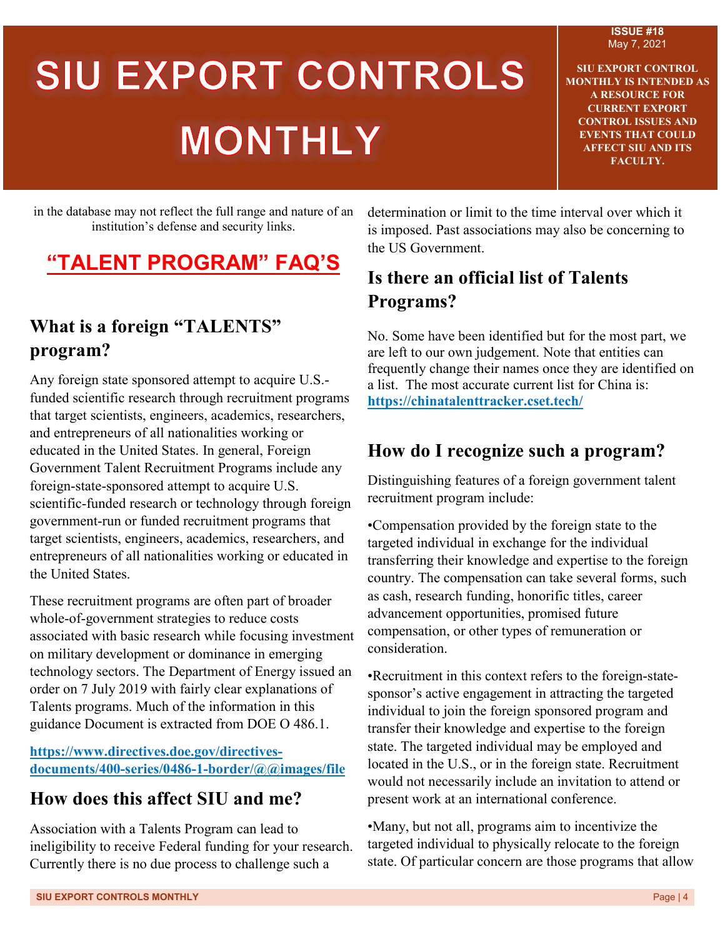#### **ISSUE #18** May 7, 2021

# SIU EXPORT CONTROLS **MONTHLY**

**SIU EXPORT CONTROL MONTHLY IS INTENDED AS A RESOURCE FOR CURRENT EXPORT CONTROL ISSUES AND EVENTS THAT COULD AFFECT SIU AND ITS FACULTY.**

in the database may not reflect the full range and nature of an institution's defense and security links.

# **"TALENT PROGRAM" FAQ'S**

## **What is a foreign "TALENTS" program?**

Any foreign state sponsored attempt to acquire U.S. funded scientific research through recruitment programs that target scientists, engineers, academics, researchers, and entrepreneurs of all nationalities working or educated in the United States. In general, Foreign Government Talent Recruitment Programs include any foreign-state-sponsored attempt to acquire U.S. scientific-funded research or technology through foreign government-run or funded recruitment programs that target scientists, engineers, academics, researchers, and entrepreneurs of all nationalities working or educated in the United States.

These recruitment programs are often part of broader whole-of-government strategies to reduce costs associated with basic research while focusing investment on military development or dominance in emerging technology sectors. The Department of Energy issued an order on 7 July 2019 with fairly clear explanations of Talents programs. Much of the information in this guidance Document is extracted from DOE O 486.1.

**[https://www.directives.doe.gov/directives](https://www.directives.doe.gov/directives-documents/400-series/0486-1-border/@@images/file)[documents/400-series/0486-1-border/@@images/file](https://www.directives.doe.gov/directives-documents/400-series/0486-1-border/@@images/file)**

### **How does this affect SIU and me?**

Association with a Talents Program can lead to ineligibility to receive Federal funding for your research. Currently there is no due process to challenge such a

determination or limit to the time interval over which it is imposed. Past associations may also be concerning to the US Government.

## **Is there an official list of Talents Programs?**

No. Some have been identified but for the most part, we are left to our own judgement. Note that entities can frequently change their names once they are identified on a list. The most accurate current list for China is: **https://chinatalenttracker.cset.tech/**

### **How do I recognize such a program?**

Distinguishing features of a foreign government talent recruitment program include:

•Compensation provided by the foreign state to the targeted individual in exchange for the individual transferring their knowledge and expertise to the foreign country. The compensation can take several forms, such as cash, research funding, honorific titles, career advancement opportunities, promised future compensation, or other types of remuneration or consideration.

•Recruitment in this context refers to the foreign-statesponsor's active engagement in attracting the targeted individual to join the foreign sponsored program and transfer their knowledge and expertise to the foreign state. The targeted individual may be employed and located in the U.S., or in the foreign state. Recruitment would not necessarily include an invitation to attend or present work at an international conference.

•Many, but not all, programs aim to incentivize the targeted individual to physically relocate to the foreign state. Of particular concern are those programs that allow